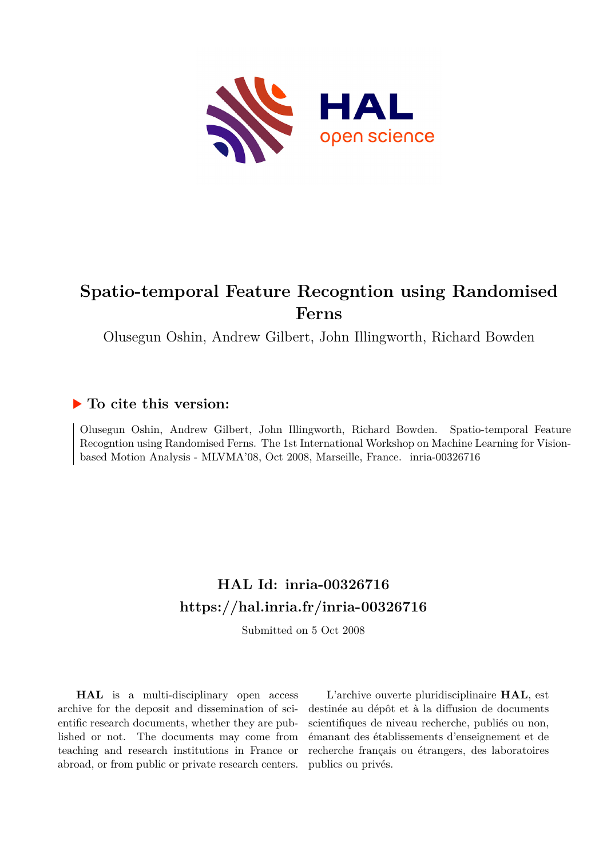

# **Spatio-temporal Feature Recogntion using Randomised Ferns**

Olusegun Oshin, Andrew Gilbert, John Illingworth, Richard Bowden

## **To cite this version:**

Olusegun Oshin, Andrew Gilbert, John Illingworth, Richard Bowden. Spatio-temporal Feature Recogntion using Randomised Ferns. The 1st International Workshop on Machine Learning for Visionbased Motion Analysis - MLVMA'08, Oct 2008, Marseille, France. inria-00326716

# **HAL Id: inria-00326716 <https://hal.inria.fr/inria-00326716>**

Submitted on 5 Oct 2008

**HAL** is a multi-disciplinary open access archive for the deposit and dissemination of scientific research documents, whether they are published or not. The documents may come from teaching and research institutions in France or abroad, or from public or private research centers.

L'archive ouverte pluridisciplinaire **HAL**, est destinée au dépôt et à la diffusion de documents scientifiques de niveau recherche, publiés ou non, émanant des établissements d'enseignement et de recherche français ou étrangers, des laboratoires publics ou privés.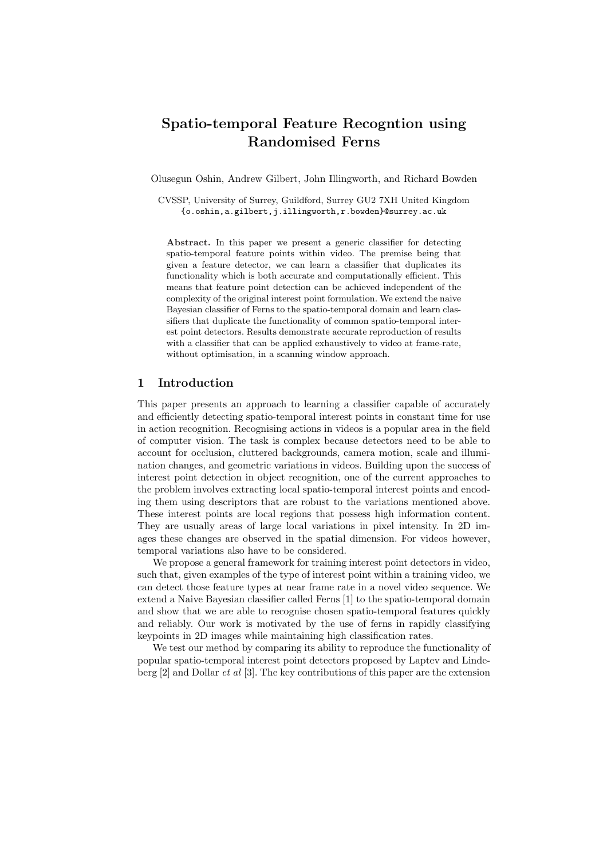## Spatio-temporal Feature Recogntion using Randomised Ferns

Olusegun Oshin, Andrew Gilbert, John Illingworth, and Richard Bowden

CVSSP, University of Surrey, Guildford, Surrey GU2 7XH United Kingdom {o.oshin,a.gilbert,j.illingworth,r.bowden}@surrey.ac.uk

Abstract. In this paper we present a generic classifier for detecting spatio-temporal feature points within video. The premise being that given a feature detector, we can learn a classifier that duplicates its functionality which is both accurate and computationally efficient. This means that feature point detection can be achieved independent of the complexity of the original interest point formulation. We extend the naive Bayesian classifier of Ferns to the spatio-temporal domain and learn classifiers that duplicate the functionality of common spatio-temporal interest point detectors. Results demonstrate accurate reproduction of results with a classifier that can be applied exhaustively to video at frame-rate, without optimisation, in a scanning window approach.

### 1 Introduction

This paper presents an approach to learning a classifier capable of accurately and efficiently detecting spatio-temporal interest points in constant time for use in action recognition. Recognising actions in videos is a popular area in the field of computer vision. The task is complex because detectors need to be able to account for occlusion, cluttered backgrounds, camera motion, scale and illumination changes, and geometric variations in videos. Building upon the success of interest point detection in object recognition, one of the current approaches to the problem involves extracting local spatio-temporal interest points and encoding them using descriptors that are robust to the variations mentioned above. These interest points are local regions that possess high information content. They are usually areas of large local variations in pixel intensity. In 2D images these changes are observed in the spatial dimension. For videos however, temporal variations also have to be considered.

We propose a general framework for training interest point detectors in video, such that, given examples of the type of interest point within a training video, we can detect those feature types at near frame rate in a novel video sequence. We extend a Naive Bayesian classifier called Ferns [1] to the spatio-temporal domain and show that we are able to recognise chosen spatio-temporal features quickly and reliably. Our work is motivated by the use of ferns in rapidly classifying keypoints in 2D images while maintaining high classification rates.

We test our method by comparing its ability to reproduce the functionality of popular spatio-temporal interest point detectors proposed by Laptev and Lindeberg [2] and Dollar et al [3]. The key contributions of this paper are the extension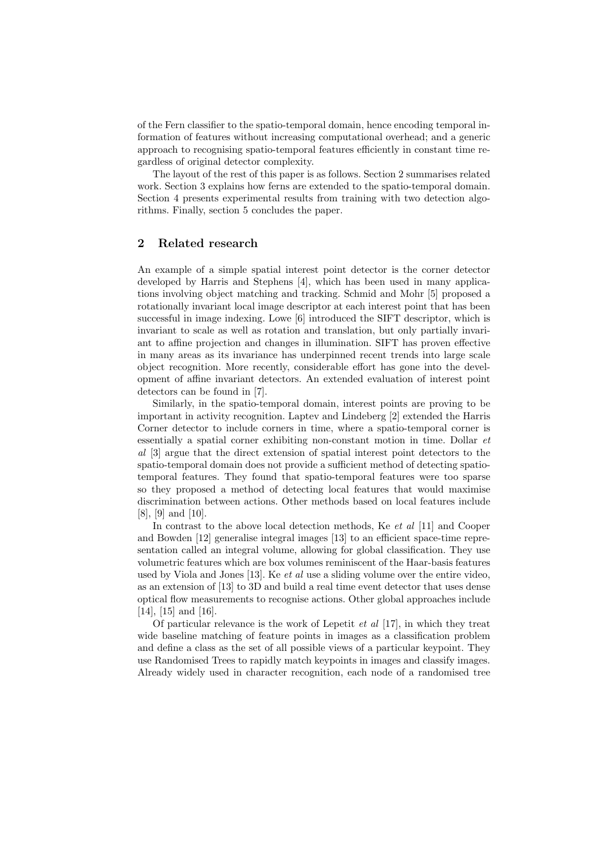of the Fern classifier to the spatio-temporal domain, hence encoding temporal information of features without increasing computational overhead; and a generic approach to recognising spatio-temporal features efficiently in constant time regardless of original detector complexity.

The layout of the rest of this paper is as follows. Section 2 summarises related work. Section 3 explains how ferns are extended to the spatio-temporal domain. Section 4 presents experimental results from training with two detection algorithms. Finally, section 5 concludes the paper.

#### 2 Related research

An example of a simple spatial interest point detector is the corner detector developed by Harris and Stephens [4], which has been used in many applications involving object matching and tracking. Schmid and Mohr [5] proposed a rotationally invariant local image descriptor at each interest point that has been successful in image indexing. Lowe [6] introduced the SIFT descriptor, which is invariant to scale as well as rotation and translation, but only partially invariant to affine projection and changes in illumination. SIFT has proven effective in many areas as its invariance has underpinned recent trends into large scale object recognition. More recently, considerable effort has gone into the development of affine invariant detectors. An extended evaluation of interest point detectors can be found in [7].

Similarly, in the spatio-temporal domain, interest points are proving to be important in activity recognition. Laptev and Lindeberg [2] extended the Harris Corner detector to include corners in time, where a spatio-temporal corner is essentially a spatial corner exhibiting non-constant motion in time. Dollar et al [3] argue that the direct extension of spatial interest point detectors to the spatio-temporal domain does not provide a sufficient method of detecting spatiotemporal features. They found that spatio-temporal features were too sparse so they proposed a method of detecting local features that would maximise discrimination between actions. Other methods based on local features include [8], [9] and [10].

In contrast to the above local detection methods, Ke *et al* [11] and Cooper and Bowden [12] generalise integral images [13] to an efficient space-time representation called an integral volume, allowing for global classification. They use volumetric features which are box volumes reminiscent of the Haar-basis features used by Viola and Jones [13]. Ke et al use a sliding volume over the entire video, as an extension of [13] to 3D and build a real time event detector that uses dense optical flow measurements to recognise actions. Other global approaches include [14], [15] and [16].

Of particular relevance is the work of Lepetit  $et \ al \ [17]$ , in which they treat wide baseline matching of feature points in images as a classification problem and define a class as the set of all possible views of a particular keypoint. They use Randomised Trees to rapidly match keypoints in images and classify images. Already widely used in character recognition, each node of a randomised tree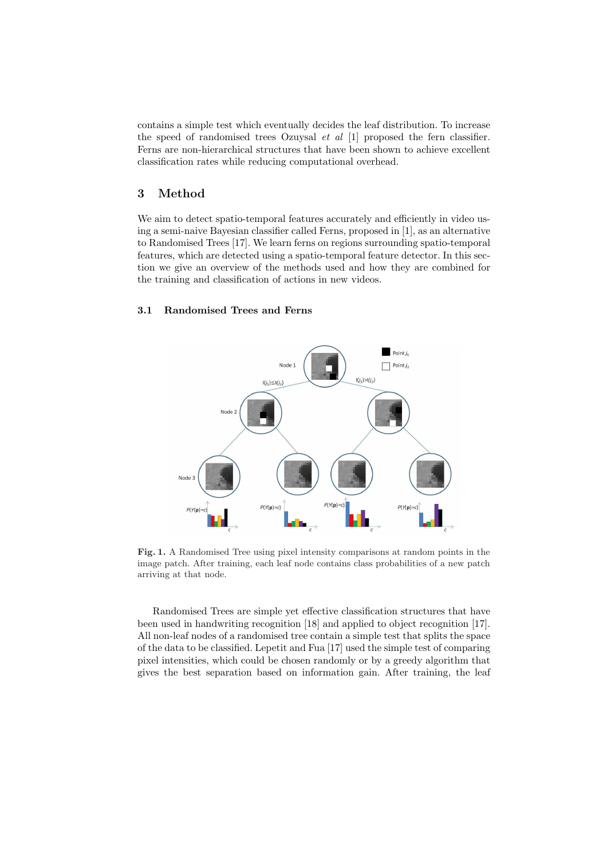contains a simple test which eventually decides the leaf distribution. To increase the speed of randomised trees Ozuysal  $et$  al  $[1]$  proposed the fern classifier. Ferns are non-hierarchical structures that have been shown to achieve excellent classification rates while reducing computational overhead.

#### 3 Method

We aim to detect spatio-temporal features accurately and efficiently in video using a semi-naive Bayesian classifier called Ferns, proposed in [1], as an alternative to Randomised Trees [17]. We learn ferns on regions surrounding spatio-temporal features, which are detected using a spatio-temporal feature detector. In this section we give an overview of the methods used and how they are combined for the training and classification of actions in new videos.

#### 3.1 Randomised Trees and Ferns



Fig. 1. A Randomised Tree using pixel intensity comparisons at random points in the image patch. After training, each leaf node contains class probabilities of a new patch arriving at that node.

Randomised Trees are simple yet effective classification structures that have been used in handwriting recognition [18] and applied to object recognition [17]. All non-leaf nodes of a randomised tree contain a simple test that splits the space of the data to be classified. Lepetit and Fua [17] used the simple test of comparing pixel intensities, which could be chosen randomly or by a greedy algorithm that gives the best separation based on information gain. After training, the leaf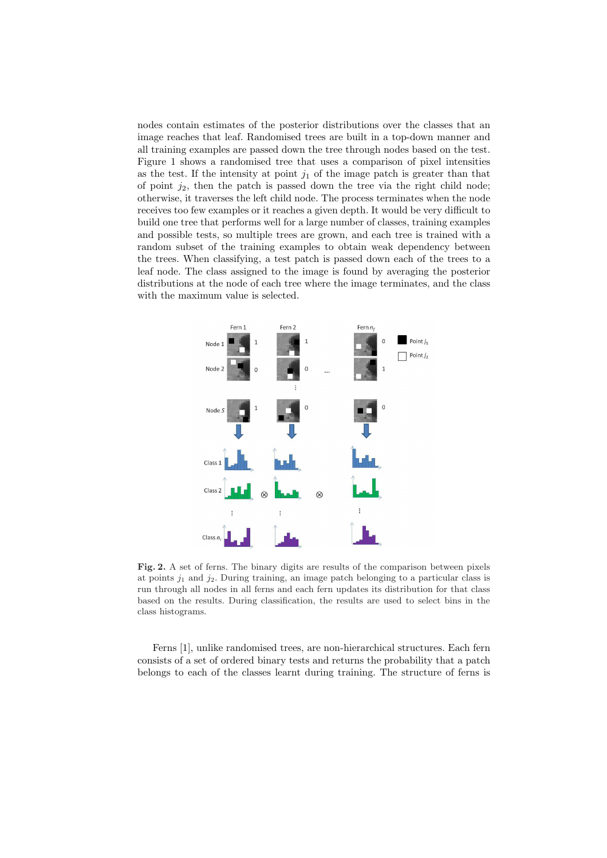nodes contain estimates of the posterior distributions over the classes that an image reaches that leaf. Randomised trees are built in a top-down manner and all training examples are passed down the tree through nodes based on the test. Figure 1 shows a randomised tree that uses a comparison of pixel intensities as the test. If the intensity at point  $j_1$  of the image patch is greater than that of point  $j_2$ , then the patch is passed down the tree via the right child node; otherwise, it traverses the left child node. The process terminates when the node receives too few examples or it reaches a given depth. It would be very difficult to build one tree that performs well for a large number of classes, training examples and possible tests, so multiple trees are grown, and each tree is trained with a random subset of the training examples to obtain weak dependency between the trees. When classifying, a test patch is passed down each of the trees to a leaf node. The class assigned to the image is found by averaging the posterior distributions at the node of each tree where the image terminates, and the class with the maximum value is selected.



Fig. 2. A set of ferns. The binary digits are results of the comparison between pixels at points  $j_1$  and  $j_2$ . During training, an image patch belonging to a particular class is run through all nodes in all ferns and each fern updates its distribution for that class based on the results. During classification, the results are used to select bins in the class histograms.

Ferns [1], unlike randomised trees, are non-hierarchical structures. Each fern consists of a set of ordered binary tests and returns the probability that a patch belongs to each of the classes learnt during training. The structure of ferns is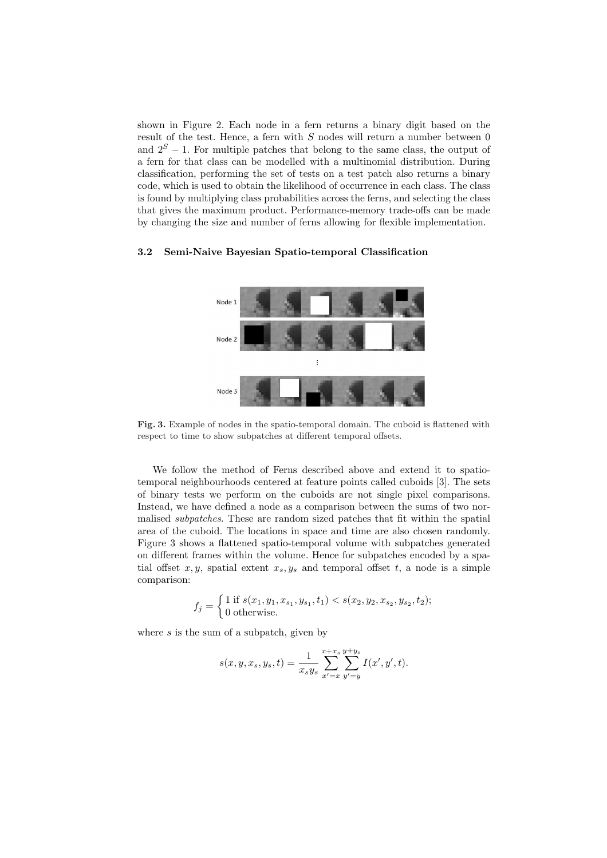shown in Figure 2. Each node in a fern returns a binary digit based on the result of the test. Hence, a fern with  $S$  nodes will return a number between  $0$ and  $2<sup>S</sup> - 1$ . For multiple patches that belong to the same class, the output of a fern for that class can be modelled with a multinomial distribution. During classification, performing the set of tests on a test patch also returns a binary code, which is used to obtain the likelihood of occurrence in each class. The class is found by multiplying class probabilities across the ferns, and selecting the class that gives the maximum product. Performance-memory trade-offs can be made by changing the size and number of ferns allowing for flexible implementation.

#### 3.2 Semi-Naive Bayesian Spatio-temporal Classification



Fig. 3. Example of nodes in the spatio-temporal domain. The cuboid is flattened with respect to time to show subpatches at different temporal offsets.

We follow the method of Ferns described above and extend it to spatiotemporal neighbourhoods centered at feature points called cuboids [3]. The sets of binary tests we perform on the cuboids are not single pixel comparisons. Instead, we have defined a node as a comparison between the sums of two normalised subpatches. These are random sized patches that fit within the spatial area of the cuboid. The locations in space and time are also chosen randomly. Figure 3 shows a flattened spatio-temporal volume with subpatches generated on different frames within the volume. Hence for subpatches encoded by a spatial offset  $x, y$ , spatial extent  $x_s, y_s$  and temporal offset  $t$ , a node is a simple comparison:

$$
f_j = \begin{cases} 1 \text{ if } s(x_1, y_1, x_{s_1}, y_{s_1}, t_1) < s(x_2, y_2, x_{s_2}, y_{s_2}, t_2); \\ 0 \text{ otherwise.} \end{cases}
$$

where  $s$  is the sum of a subpatch, given by

$$
s(x,y,x_s,y_s,t) = \frac{1}{x_sy_s}\sum_{x'=x}^{x+x_s}\sum_{y'=y}^{y+y_s}I(x',y',t).
$$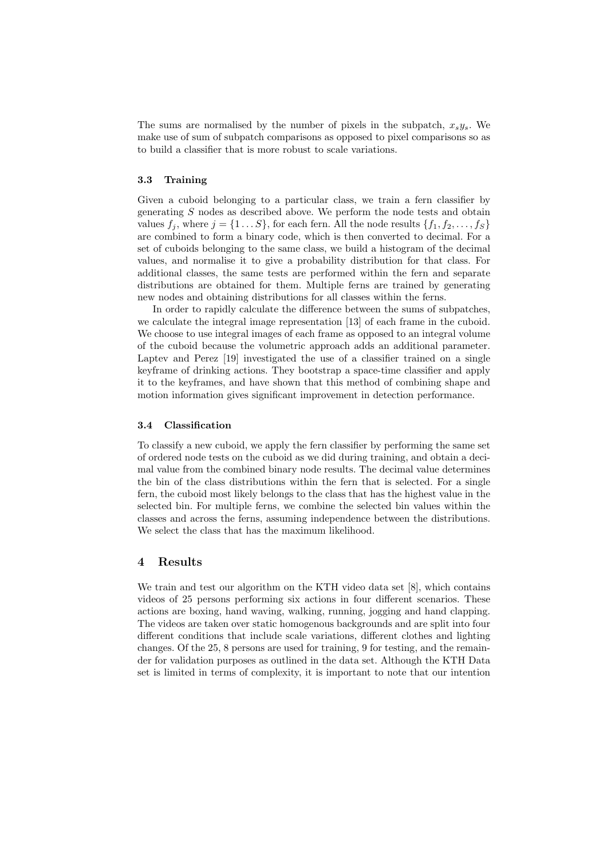The sums are normalised by the number of pixels in the subpatch,  $x_s y_s$ . We make use of sum of subpatch comparisons as opposed to pixel comparisons so as to build a classifier that is more robust to scale variations.

#### 3.3 Training

Given a cuboid belonging to a particular class, we train a fern classifier by generating S nodes as described above. We perform the node tests and obtain values  $f_i$ , where  $j = \{1 \dots S\}$ , for each fern. All the node results  $\{f_1, f_2, \dots, f_S\}$ are combined to form a binary code, which is then converted to decimal. For a set of cuboids belonging to the same class, we build a histogram of the decimal values, and normalise it to give a probability distribution for that class. For additional classes, the same tests are performed within the fern and separate distributions are obtained for them. Multiple ferns are trained by generating new nodes and obtaining distributions for all classes within the ferns.

In order to rapidly calculate the difference between the sums of subpatches, we calculate the integral image representation [13] of each frame in the cuboid. We choose to use integral images of each frame as opposed to an integral volume of the cuboid because the volumetric approach adds an additional parameter. Laptev and Perez [19] investigated the use of a classifier trained on a single keyframe of drinking actions. They bootstrap a space-time classifier and apply it to the keyframes, and have shown that this method of combining shape and motion information gives significant improvement in detection performance.

#### 3.4 Classification

To classify a new cuboid, we apply the fern classifier by performing the same set of ordered node tests on the cuboid as we did during training, and obtain a decimal value from the combined binary node results. The decimal value determines the bin of the class distributions within the fern that is selected. For a single fern, the cuboid most likely belongs to the class that has the highest value in the selected bin. For multiple ferns, we combine the selected bin values within the classes and across the ferns, assuming independence between the distributions. We select the class that has the maximum likelihood.

#### 4 Results

We train and test our algorithm on the KTH video data set [8], which contains videos of 25 persons performing six actions in four different scenarios. These actions are boxing, hand waving, walking, running, jogging and hand clapping. The videos are taken over static homogenous backgrounds and are split into four different conditions that include scale variations, different clothes and lighting changes. Of the 25, 8 persons are used for training, 9 for testing, and the remainder for validation purposes as outlined in the data set. Although the KTH Data set is limited in terms of complexity, it is important to note that our intention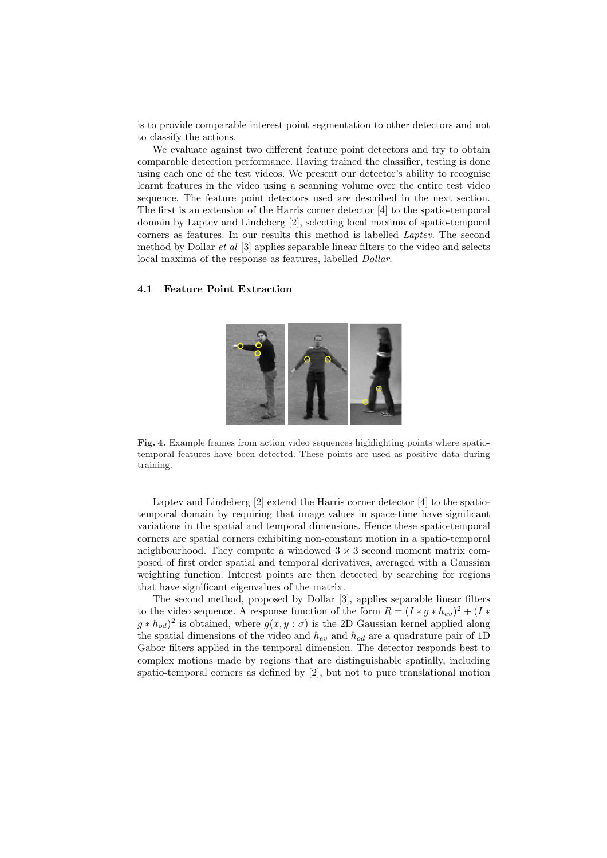is to provide comparable interest point segmentation to other detectors and not to classify the actions.

We evaluate against two different feature point detectors and try to obtain comparable detection performance. Having trained the classifier, testing is done using each one of the test videos. We present our detector's ability to recognise learnt features in the video using a scanning volume over the entire test video sequence. The feature point detectors used are described in the next section. The first is an extension of the Harris corner detector [4] to the spatio-temporal domain by Laptev and Lindeberg [2], selecting local maxima of spatio-temporal corners as features. In our results this method is labelled Laptev. The second method by Dollar  $et$  al  $[3]$  applies separable linear filters to the video and selects local maxima of the response as features, labelled Dollar.

#### 4.1 Feature Point Extraction



Fig. 4. Example frames from action video sequences highlighting points where spatiotemporal features have been detected. These points are used as positive data during training.

Laptev and Lindeberg [2] extend the Harris corner detector [4] to the spatiotemporal domain by requiring that image values in space-time have significant variations in the spatial and temporal dimensions. Hence these spatio-temporal corners are spatial corners exhibiting non-constant motion in a spatio-temporal neighbourhood. They compute a windowed  $3 \times 3$  second moment matrix composed of first order spatial and temporal derivatives, averaged with a Gaussian weighting function. Interest points are then detected by searching for regions that have significant eigenvalues of the matrix.

The second method, proposed by Dollar [3], applies separable linear filters to the video sequence. A response function of the form  $R = (I * g * h_{ev})^2 + (I * h_{ev})^2$  $(g * h_{od})^2$  is obtained, where  $g(x, y : \sigma)$  is the 2D Gaussian kernel applied along the spatial dimensions of the video and  $h_{ev}$  and  $h_{od}$  are a quadrature pair of 1D Gabor filters applied in the temporal dimension. The detector responds best to complex motions made by regions that are distinguishable spatially, including spatio-temporal corners as defined by [2], but not to pure translational motion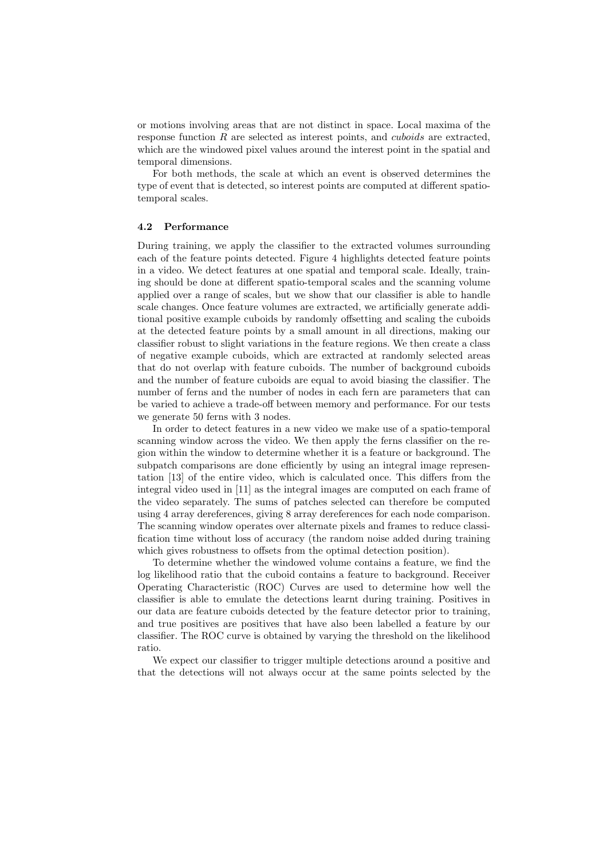or motions involving areas that are not distinct in space. Local maxima of the response function R are selected as interest points, and *cuboids* are extracted, which are the windowed pixel values around the interest point in the spatial and temporal dimensions.

For both methods, the scale at which an event is observed determines the type of event that is detected, so interest points are computed at different spatiotemporal scales.

#### 4.2 Performance

During training, we apply the classifier to the extracted volumes surrounding each of the feature points detected. Figure 4 highlights detected feature points in a video. We detect features at one spatial and temporal scale. Ideally, training should be done at different spatio-temporal scales and the scanning volume applied over a range of scales, but we show that our classifier is able to handle scale changes. Once feature volumes are extracted, we artificially generate additional positive example cuboids by randomly offsetting and scaling the cuboids at the detected feature points by a small amount in all directions, making our classifier robust to slight variations in the feature regions. We then create a class of negative example cuboids, which are extracted at randomly selected areas that do not overlap with feature cuboids. The number of background cuboids and the number of feature cuboids are equal to avoid biasing the classifier. The number of ferns and the number of nodes in each fern are parameters that can be varied to achieve a trade-off between memory and performance. For our tests we generate 50 ferns with 3 nodes.

In order to detect features in a new video we make use of a spatio-temporal scanning window across the video. We then apply the ferns classifier on the region within the window to determine whether it is a feature or background. The subpatch comparisons are done efficiently by using an integral image representation [13] of the entire video, which is calculated once. This differs from the integral video used in [11] as the integral images are computed on each frame of the video separately. The sums of patches selected can therefore be computed using 4 array dereferences, giving 8 array dereferences for each node comparison. The scanning window operates over alternate pixels and frames to reduce classification time without loss of accuracy (the random noise added during training which gives robustness to offsets from the optimal detection position).

To determine whether the windowed volume contains a feature, we find the log likelihood ratio that the cuboid contains a feature to background. Receiver Operating Characteristic (ROC) Curves are used to determine how well the classifier is able to emulate the detections learnt during training. Positives in our data are feature cuboids detected by the feature detector prior to training, and true positives are positives that have also been labelled a feature by our classifier. The ROC curve is obtained by varying the threshold on the likelihood ratio.

We expect our classifier to trigger multiple detections around a positive and that the detections will not always occur at the same points selected by the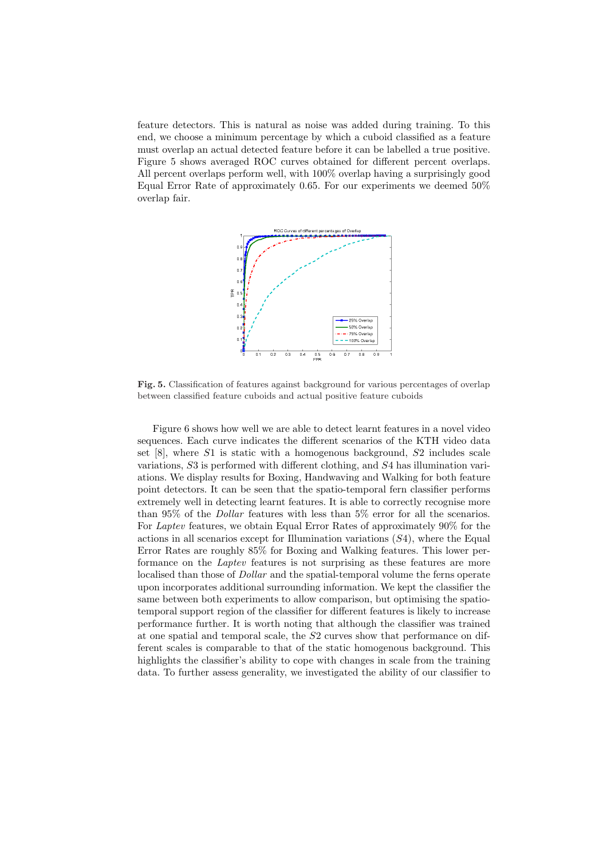feature detectors. This is natural as noise was added during training. To this end, we choose a minimum percentage by which a cuboid classified as a feature must overlap an actual detected feature before it can be labelled a true positive. Figure 5 shows averaged ROC curves obtained for different percent overlaps. All percent overlaps perform well, with 100% overlap having a surprisingly good Equal Error Rate of approximately 0.65. For our experiments we deemed 50% overlap fair.



Fig. 5. Classification of features against background for various percentages of overlap between classified feature cuboids and actual positive feature cuboids

Figure 6 shows how well we are able to detect learnt features in a novel video sequences. Each curve indicates the different scenarios of the KTH video data set  $[8]$ , where  $S1$  is static with a homogenous background,  $S2$  includes scale variations, S3 is performed with different clothing, and S4 has illumination variations. We display results for Boxing, Handwaving and Walking for both feature point detectors. It can be seen that the spatio-temporal fern classifier performs extremely well in detecting learnt features. It is able to correctly recognise more than 95% of the Dollar features with less than 5% error for all the scenarios. For Laptev features, we obtain Equal Error Rates of approximately 90% for the actions in all scenarios except for Illumination variations  $(S4)$ , where the Equal Error Rates are roughly 85% for Boxing and Walking features. This lower performance on the Laptev features is not surprising as these features are more localised than those of *Dollar* and the spatial-temporal volume the ferns operate upon incorporates additional surrounding information. We kept the classifier the same between both experiments to allow comparison, but optimising the spatiotemporal support region of the classifier for different features is likely to increase performance further. It is worth noting that although the classifier was trained at one spatial and temporal scale, the S2 curves show that performance on different scales is comparable to that of the static homogenous background. This highlights the classifier's ability to cope with changes in scale from the training data. To further assess generality, we investigated the ability of our classifier to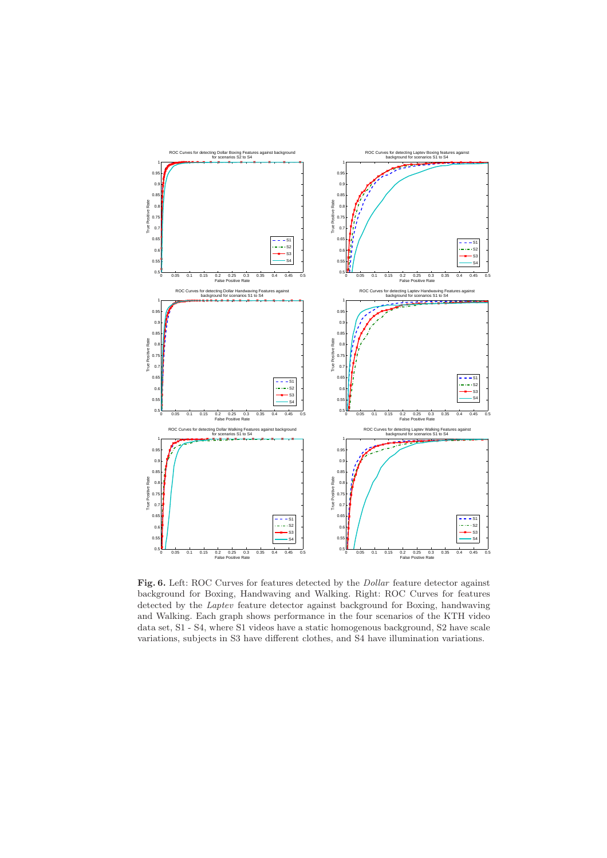

Fig. 6. Left: ROC Curves for features detected by the *Dollar* feature detector against background for Boxing, Handwaving and Walking. Right: ROC Curves for features detected by the Laptev feature detector against background for Boxing, handwaving and Walking. Each graph shows performance in the four scenarios of the KTH video data set, S1 - S4, where S1 videos have a static homogenous background, S2 have scale variations, subjects in S3 have different clothes, and S4 have illumination variations.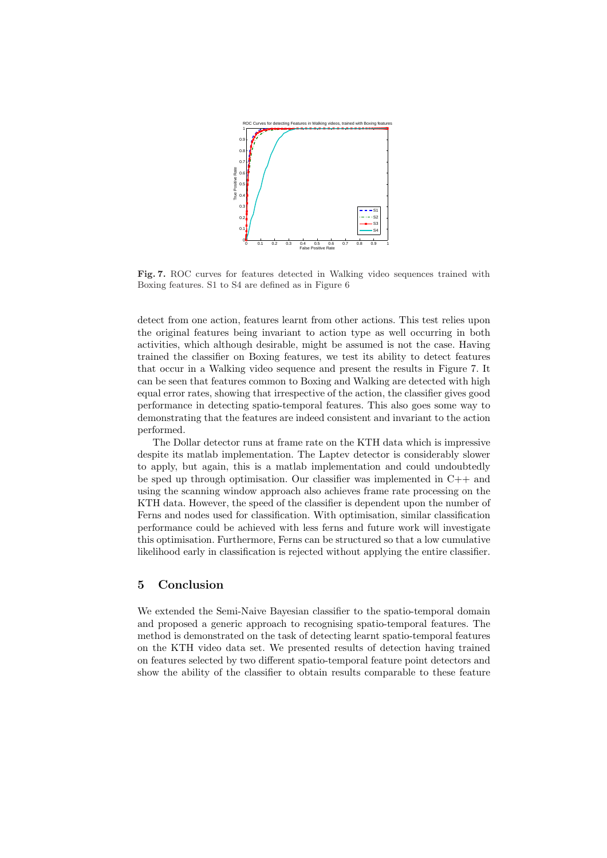

Fig. 7. ROC curves for features detected in Walking video sequences trained with Boxing features. S1 to S4 are defined as in Figure 6

detect from one action, features learnt from other actions. This test relies upon the original features being invariant to action type as well occurring in both activities, which although desirable, might be assumed is not the case. Having trained the classifier on Boxing features, we test its ability to detect features that occur in a Walking video sequence and present the results in Figure 7. It can be seen that features common to Boxing and Walking are detected with high equal error rates, showing that irrespective of the action, the classifier gives good performance in detecting spatio-temporal features. This also goes some way to demonstrating that the features are indeed consistent and invariant to the action performed.

The Dollar detector runs at frame rate on the KTH data which is impressive despite its matlab implementation. The Laptev detector is considerably slower to apply, but again, this is a matlab implementation and could undoubtedly be sped up through optimisation. Our classifier was implemented in  $C++$  and using the scanning window approach also achieves frame rate processing on the KTH data. However, the speed of the classifier is dependent upon the number of Ferns and nodes used for classification. With optimisation, similar classification performance could be achieved with less ferns and future work will investigate this optimisation. Furthermore, Ferns can be structured so that a low cumulative likelihood early in classification is rejected without applying the entire classifier.

### 5 Conclusion

We extended the Semi-Naive Bayesian classifier to the spatio-temporal domain and proposed a generic approach to recognising spatio-temporal features. The method is demonstrated on the task of detecting learnt spatio-temporal features on the KTH video data set. We presented results of detection having trained on features selected by two different spatio-temporal feature point detectors and show the ability of the classifier to obtain results comparable to these feature